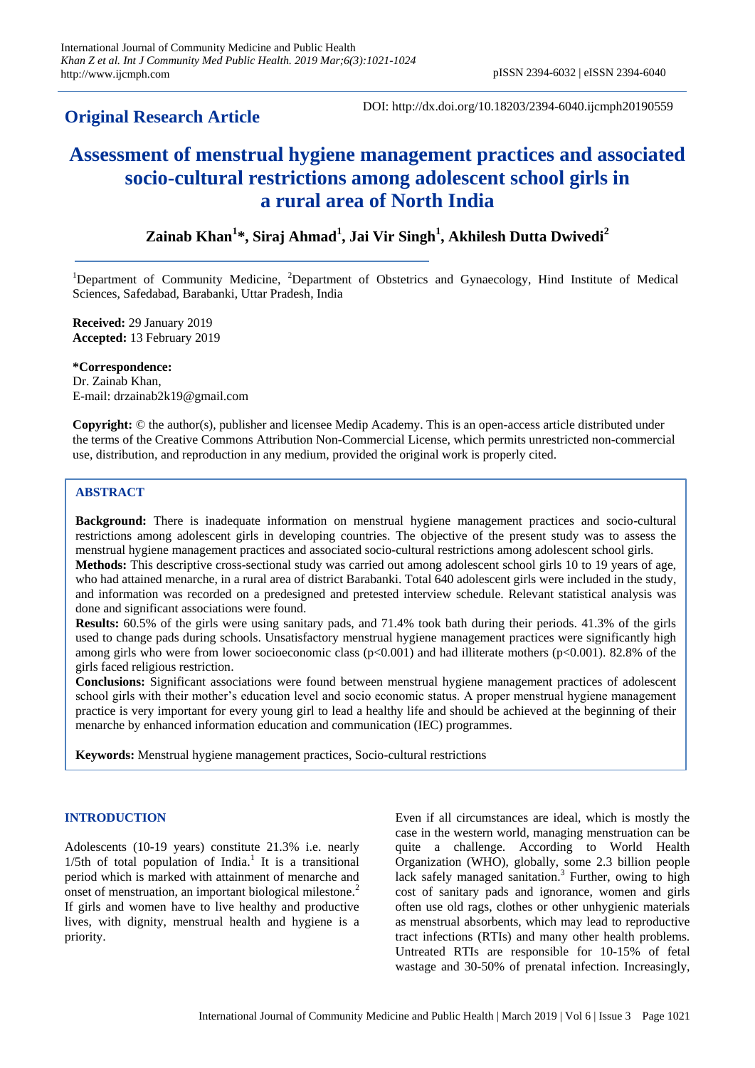# **Original Research Article**

DOI: http://dx.doi.org/10.18203/2394-6040.ijcmph20190559

# **Assessment of menstrual hygiene management practices and associated socio-cultural restrictions among adolescent school girls in a rural area of North India**

# **Zainab Khan<sup>1</sup> \*, Siraj Ahmad<sup>1</sup> , Jai Vir Singh<sup>1</sup> , Akhilesh Dutta Dwivedi<sup>2</sup>**

<sup>1</sup>Department of Community Medicine, <sup>2</sup>Department of Obstetrics and Gynaecology, Hind Institute of Medical Sciences, Safedabad, Barabanki, Uttar Pradesh, India

**Received:** 29 January 2019 **Accepted:** 13 February 2019

**\*Correspondence:** Dr. Zainab Khan, E-mail: drzainab2k19@gmail.com

**Copyright:** © the author(s), publisher and licensee Medip Academy. This is an open-access article distributed under the terms of the Creative Commons Attribution Non-Commercial License, which permits unrestricted non-commercial use, distribution, and reproduction in any medium, provided the original work is properly cited.

## **ABSTRACT**

**Background:** There is inadequate information on menstrual hygiene management practices and socio-cultural restrictions among adolescent girls in developing countries. The objective of the present study was to assess the menstrual hygiene management practices and associated socio-cultural restrictions among adolescent school girls. **Methods:** This descriptive cross-sectional study was carried out among adolescent school girls 10 to 19 years of age,

who had attained menarche, in a rural area of district Barabanki. Total 640 adolescent girls were included in the study, and information was recorded on a predesigned and pretested interview schedule. Relevant statistical analysis was done and significant associations were found.

**Results:** 60.5% of the girls were using sanitary pads, and 71.4% took bath during their periods. 41.3% of the girls used to change pads during schools. Unsatisfactory menstrual hygiene management practices were significantly high among girls who were from lower socioeconomic class  $(p<0.001)$  and had illiterate mothers  $(p<0.001)$ . 82.8% of the girls faced religious restriction.

**Conclusions:** Significant associations were found between menstrual hygiene management practices of adolescent school girls with their mother's education level and socio economic status. A proper menstrual hygiene management practice is very important for every young girl to lead a healthy life and should be achieved at the beginning of their menarche by enhanced information education and communication (IEC) programmes.

**Keywords:** Menstrual hygiene management practices, Socio-cultural restrictions

# **INTRODUCTION**

Adolescents (10-19 years) constitute 21.3% i.e. nearly  $1/5$ th of total population of India.<sup>1</sup> It is a transitional period which is marked with attainment of menarche and onset of menstruation, an important biological milestone.<sup>2</sup> If girls and women have to live healthy and productive lives, with dignity, menstrual health and hygiene is a priority.

Even if all circumstances are ideal, which is mostly the case in the western world, managing menstruation can be quite a challenge. According to World Health Organization (WHO), globally, some 2.3 billion people lack safely managed sanitation. 3 Further, owing to high cost of sanitary pads and ignorance, women and girls often use old rags, clothes or other unhygienic materials as menstrual absorbents, which may lead to reproductive tract infections (RTIs) and many other health problems. Untreated RTIs are responsible for 10-15% of fetal wastage and 30-50% of prenatal infection. Increasingly,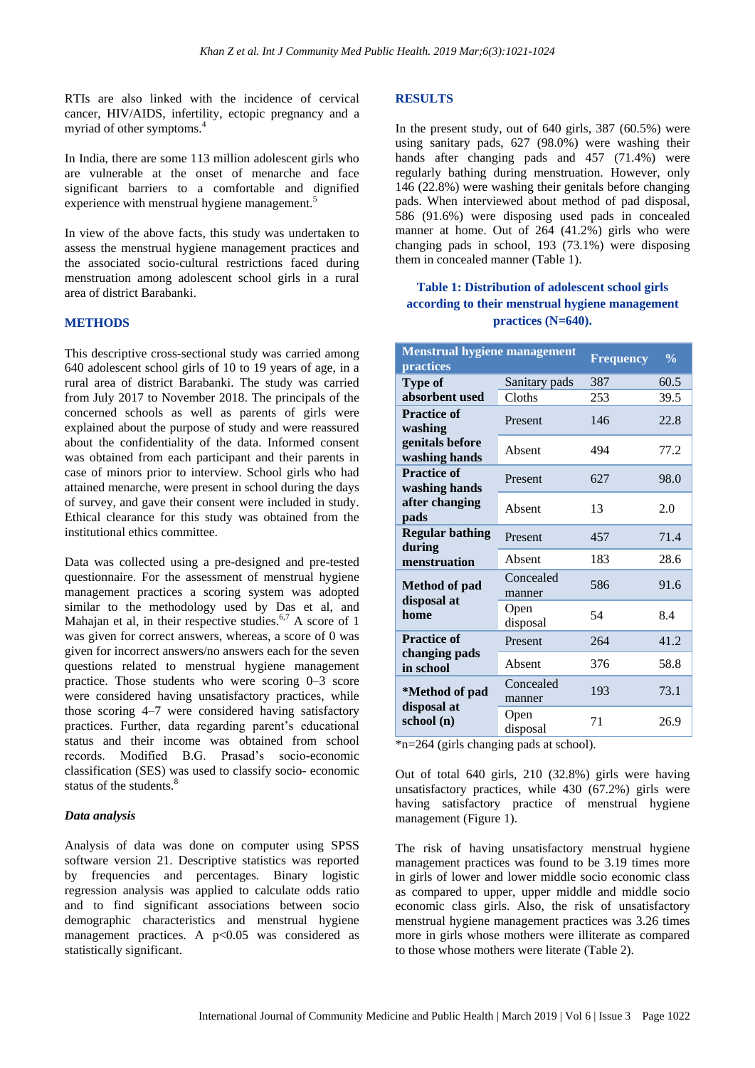RTIs are also linked with the incidence of cervical cancer, HIV/AIDS, infertility, ectopic pregnancy and a myriad of other symptoms.<sup>4</sup>

In India, there are some 113 million adolescent girls who are vulnerable at the onset of menarche and face significant barriers to a comfortable and dignified experience with menstrual hygiene management.<sup>5</sup>

In view of the above facts, this study was undertaken to assess the menstrual hygiene management practices and the associated socio-cultural restrictions faced during menstruation among adolescent school girls in a rural area of district Barabanki.

#### **METHODS**

This descriptive cross-sectional study was carried among 640 adolescent school girls of 10 to 19 years of age, in a rural area of district Barabanki. The study was carried from July 2017 to November 2018. The principals of the concerned schools as well as parents of girls were explained about the purpose of study and were reassured about the confidentiality of the data. Informed consent was obtained from each participant and their parents in case of minors prior to interview. School girls who had attained menarche, were present in school during the days of survey, and gave their consent were included in study. Ethical clearance for this study was obtained from the institutional ethics committee.

Data was collected using a pre-designed and pre-tested questionnaire. For the assessment of menstrual hygiene management practices a scoring system was adopted similar to the methodology used by Das et al, and Mahajan et al, in their respective studies.<sup>6,7</sup> A score of 1 was given for correct answers, whereas, a score of 0 was given for incorrect answers/no answers each for the seven questions related to menstrual hygiene management practice. Those students who were scoring 0–3 score were considered having unsatisfactory practices, while those scoring 4–7 were considered having satisfactory practices. Further, data regarding parent's educational status and their income was obtained from school records. Modified B.G. Prasad's socio-economic classification (SES) was used to classify socio- economic status of the students.<sup>8</sup>

#### *Data analysis*

Analysis of data was done on computer using SPSS software version 21. Descriptive statistics was reported by frequencies and percentages. Binary logistic regression analysis was applied to calculate odds ratio and to find significant associations between socio demographic characteristics and menstrual hygiene management practices. A  $p<0.05$  was considered as statistically significant.

#### **RESULTS**

In the present study, out of 640 girls, 387 (60.5%) were using sanitary pads, 627 (98.0%) were washing their hands after changing pads and 457 (71.4%) were regularly bathing during menstruation. However, only 146 (22.8%) were washing their genitals before changing pads. When interviewed about method of pad disposal, 586 (91.6%) were disposing used pads in concealed manner at home. Out of 264 (41.2%) girls who were changing pads in school, 193 (73.1%) were disposing them in concealed manner (Table 1).

# **Table 1: Distribution of adolescent school girls according to their menstrual hygiene management practices (N=640).**

| <b>Menstrual hygiene management</b>                               |                     |                  | $\frac{0}{0}$ |
|-------------------------------------------------------------------|---------------------|------------------|---------------|
| <b>practices</b>                                                  |                     | <b>Frequency</b> |               |
| Type of                                                           | Sanitary pads       | 387              | 60.5          |
| absorbent used                                                    | Cloths              | 253              | 39.5          |
| <b>Practice of</b><br>washing<br>genitals before<br>washing hands | Present             | 146              | 22.8          |
|                                                                   | Absent              | 494              | 77.2          |
| <b>Practice of</b><br>washing hands<br>after changing<br>pads     | Present             | 627              | 98.0          |
|                                                                   | Absent              | 13               | 2.0           |
| <b>Regular bathing</b><br>during                                  | Present             | 457              | 71.4          |
| menstruation                                                      | Absent              | 183              | 28.6          |
| <b>Method of pad</b><br>disposal at<br>home                       | Concealed<br>manner | 586              | 91.6          |
|                                                                   | Open<br>disposal    | 54               | 8.4           |
| <b>Practice of</b><br>changing pads<br>in school                  | Present             | 264              | 41.2          |
|                                                                   | Absent              | 376              | 58.8          |
| *Method of pad<br>disposal at<br>school (n)                       | Concealed<br>manner | 193              | 73.1          |
|                                                                   | Open<br>disposal    | 71               | 26.9          |

\*n=264 (girls changing pads at school).

Out of total 640 girls, 210 (32.8%) girls were having unsatisfactory practices, while 430 (67.2%) girls were having satisfactory practice of menstrual hygiene management (Figure 1).

The risk of having unsatisfactory menstrual hygiene management practices was found to be 3.19 times more in girls of lower and lower middle socio economic class as compared to upper, upper middle and middle socio economic class girls. Also, the risk of unsatisfactory menstrual hygiene management practices was 3.26 times more in girls whose mothers were illiterate as compared to those whose mothers were literate (Table 2).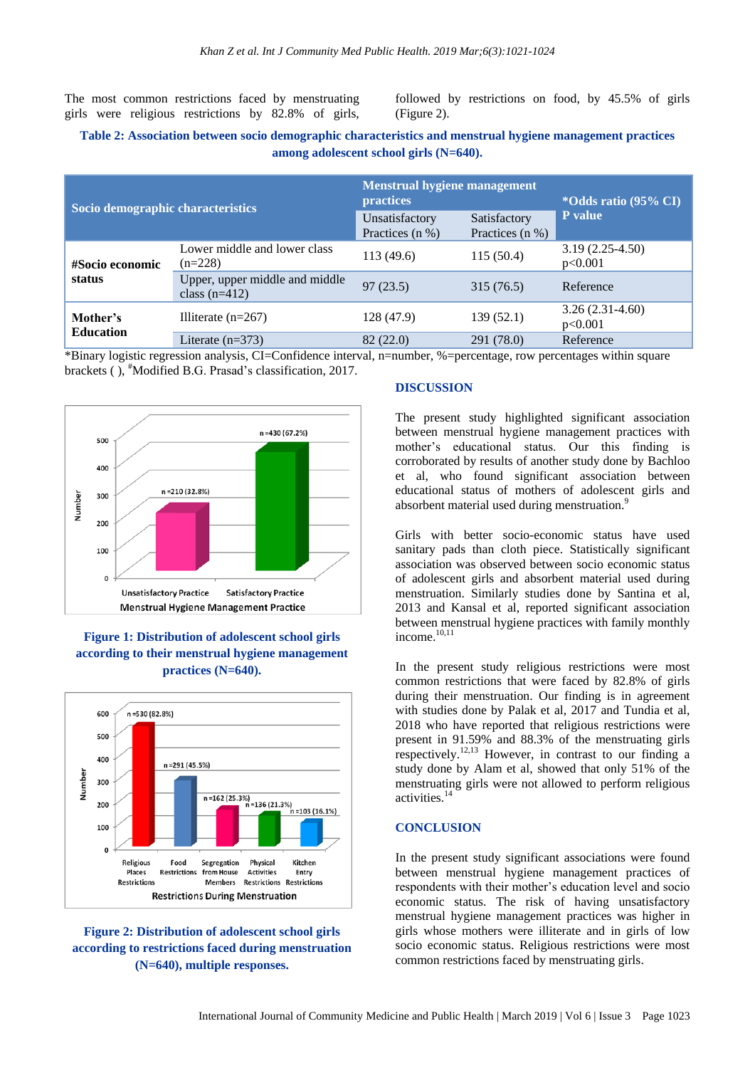The most common restrictions faced by menstruating girls were religious restrictions by 82.8% of girls,

followed by restrictions on food, by 45.5% of girls (Figure 2).

# **Table 2: Association between socio demographic characteristics and menstrual hygiene management practices among adolescent school girls (N=640).**

| Socio demographic characteristics |                                                   | <b>Menstrual hygiene management</b><br><b>practices</b> |                                 | *Odds ratio (95% CI)         |
|-----------------------------------|---------------------------------------------------|---------------------------------------------------------|---------------------------------|------------------------------|
|                                   |                                                   | Unsatisfactory<br>Practices (n %)                       | Satisfactory<br>Practices (n %) | P value                      |
| #Socio economic<br>status         | Lower middle and lower class<br>$(n=228)$         | 113(49.6)                                               | 115 (50.4)                      | $3.19(2.25-4.50)$<br>p<0.001 |
|                                   | Upper, upper middle and middle<br>class $(n=412)$ | 97(23.5)                                                | 315 (76.5)                      | Reference                    |
| Mother's<br><b>Education</b>      | Illiterate $(n=267)$                              | 128 (47.9)                                              | 139(52.1)                       | $3.26(2.31-4.60)$<br>p<0.001 |
|                                   | Literate $(n=373)$                                | 82(22.0)                                                | 291 (78.0)                      | Reference                    |

\*Binary logistic regression analysis, CI=Confidence interval, n=number, %=percentage, row percentages within square brackets (), #Modified B.G. Prasad's classification, 2017.



# **Figure 1: Distribution of adolescent school girls according to their menstrual hygiene management practices (N=640).**



# **Figure 2: Distribution of adolescent school girls according to restrictions faced during menstruation (N=640), multiple responses.**

#### **DISCUSSION**

The present study highlighted significant association between menstrual hygiene management practices with mother's educational status. Our this finding is corroborated by results of another study done by Bachloo et al, who found significant association between educational status of mothers of adolescent girls and absorbent material used during menstruation.<sup>9</sup>

Girls with better socio-economic status have used sanitary pads than cloth piece. Statistically significant association was observed between socio economic status of adolescent girls and absorbent material used during menstruation. Similarly studies done by Santina et al, 2013 and Kansal et al, reported significant association between menstrual hygiene practices with family monthly income.<sup>10,11</sup>

In the present study religious restrictions were most common restrictions that were faced by 82.8% of girls during their menstruation. Our finding is in agreement with studies done by Palak et al, 2017 and Tundia et al, 2018 who have reported that religious restrictions were present in 91.59% and 88.3% of the menstruating girls respectively.<sup>12,13</sup> However, in contrast to our finding a study done by Alam et al, showed that only 51% of the menstruating girls were not allowed to perform religious activities.<sup>14</sup>

#### **CONCLUSION**

In the present study significant associations were found between menstrual hygiene management practices of respondents with their mother's education level and socio economic status. The risk of having unsatisfactory menstrual hygiene management practices was higher in girls whose mothers were illiterate and in girls of low socio economic status. Religious restrictions were most common restrictions faced by menstruating girls.